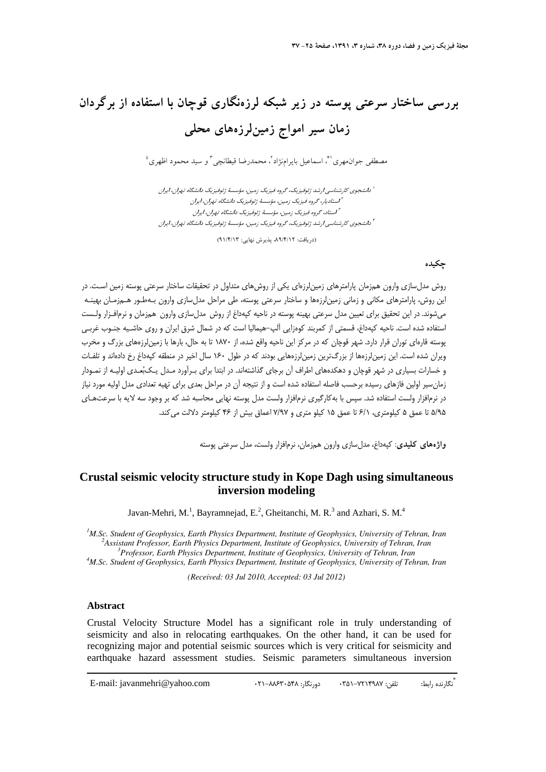# **بررسي ساختار سرعتي پوسته در زير شبكه لرزهنگاري قوچان با استفاده از برگردان زمان سير امواج زمينلرزههاي محلي**

مصطفى جوان.هري ا\*، اسماعيل بايرامنژاد آ، محمدرضا قيطانچي آ و سيد محمود اظهري <sup>؛</sup>

دانشجوي كارشناسي ارشد ژئوفيزيك، گروه فيزيك زمين، مؤسسة ژئوفيزيك دانشگاه تهران، ايران <sup>1</sup> استاديار، گروه فيزيك زمين، مؤسسة ژئوفيزيك دانشگاه تهران، ايران <sup>2</sup> استاد، گروه فيزيك زمين، مؤسسة ژئوفيزيك دانشگاه تهران، ايران <sup>3</sup> دانشجوي كارشناسي ارشد ژئوفيزيك، گروه فيزيك زمين، مؤسسة ژئوفيزيك دانشگاه تهران، ايران <sup>4</sup>

(دريافت: ،89/4/12 پذيرش نهايي: 91/4/13)

### **چكيده**

روش مدلسازي وارون همزمان پارامترهاي زمينلرزهاي يكي از روشهاي متداول در تحقيقات ساختار سرعتي پوسته زمين اسـت. در اين روش، پارامترهاي مكاني و زماني زمينلرزهها و ساختار سرعتي پوسته، طي مراحل مدلسازي وارون بـهطـور هـمزمـان بهينـه ميشوند. در اين تحقيق براي تعيين مدل سرعتي بهينه پوسته در ناحيه كپهداغ از روش مدلسازي وارون همزمان و نرمافـزار ولـست استفاده شده است. ناحيه كپهداغ، قسمتي از كمربند كوهزايي آلپ-هيماليا است كه در شمال شرق ايران و روي حاشـيه جنـوب غربـي پوسته قاره اي توران قرار دارد. شهر قوچان كه در مركز اين ناحيه واقع شده، از 1870 تا به حال، بارها با زمينلرزههاي بزرگ و مخرب ويران شده است. اين زمينلرزهها از بزرگترين زمينلرزههايي بودند كه در طول 160 سال اخير در منطقه كپهداغ رخ دادهاند و تلفـات و خسارات بسياري در شهر قوچان و دهكدههاي اطراف آن برجاي گذاشتهاند. در ابتدا براي بـرآورد مـدل يـكبعـدي اوليـه از نمـودار زمانسير اولين فازهاي رسيده برحسب فاصله استفاده شده است و از نتيجه آن در مراحل بعدي براي تهيه تعدادي مدل اوليه مورد نياز در نرمافزار ولست استفاده شد. سپس با بهكارگيري نرمافزار ولست مدل پوسته نهايي محاسبه شد كه بر وجود سه لايه با سرعت هـاي 5/95 تا عمق 5 كيلومتري، 6/1 تا عمق 15 كيلو متري و 7/97 اعماق بيش از 46 كيلومتر دلالت ميكند.

**واژههاي كليدي**: كپهداغ، مدلسازي وارون همزمان، نرمافزار ولست، مدل سرعتي پوسته

## **Crustal seismic velocity structure study in Kope Dagh using simultaneous inversion modeling**

Javan-Mehri, M.<sup>1</sup>, Bayramnejad, E.<sup>2</sup>, Gheitanchi, M. R.<sup>3</sup> and Azhari, S. M.<sup>4</sup>

<sup>1</sup>M.Sc. Student of Geophysics, Earth Physics Department, Institute of Geophysics, University of Tehran, Iran <sup>2</sup> Assistant Professor, Earth Physics Department, Institute of Ceophysics, University of Tehran, Iran *Assistant Professor, Earth Physics Department, Institute of Geophysics, University of Tehran, Iran 3 Professor, Earth Physics Department, Institute of Geophysics, University of Tehran, Iran 4*

<sup>4</sup>M.Sc. Student of Geophysics, Earth Physics Department, Institute of Geophysics, University of Tehran, Iran

*(Received: 03 Jul 2010, Accepted: 03 Jul 2012)* 

### **Abstract**

Crustal Velocity Structure Model has a significant role in truly understanding of seismicity and also in relocating earthquakes. On the other hand, it can be used for recognizing major and potential seismic sources which is very critical for seismicity and earthquake hazard assessment studies. Seismic parameters simultaneous inversion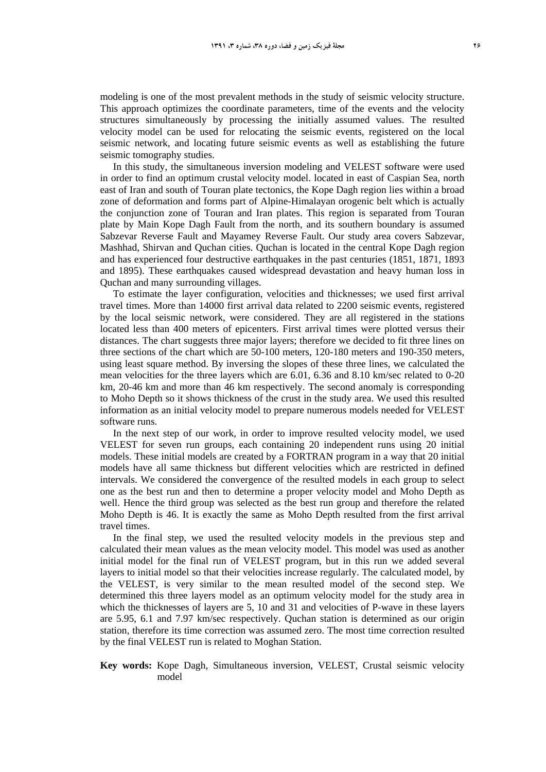modeling is one of the most prevalent methods in the study of seismic velocity structure. This approach optimizes the coordinate parameters, time of the events and the velocity structures simultaneously by processing the initially assumed values. The resulted velocity model can be used for relocating the seismic events, registered on the local seismic network, and locating future seismic events as well as establishing the future seismic tomography studies.

In this study, the simultaneous inversion modeling and VELEST software were used in order to find an optimum crustal velocity model. located in east of Caspian Sea, north east of Iran and south of Touran plate tectonics, the Kope Dagh region lies within a broad zone of deformation and forms part of Alpine-Himalayan orogenic belt which is actually the conjunction zone of Touran and Iran plates. This region is separated from Touran plate by Main Kope Dagh Fault from the north, and its southern boundary is assumed Sabzevar Reverse Fault and Mayamey Reverse Fault. Our study area covers Sabzevar, Mashhad, Shirvan and Quchan cities. Quchan is located in the central Kope Dagh region and has experienced four destructive earthquakes in the past centuries (1851, 1871, 1893 and 1895). These earthquakes caused widespread devastation and heavy human loss in Quchan and many surrounding villages.

To estimate the layer configuration, velocities and thicknesses; we used first arrival travel times. More than 14000 first arrival data related to 2200 seismic events, registered by the local seismic network, were considered. They are all registered in the stations located less than 400 meters of epicenters. First arrival times were plotted versus their distances. The chart suggests three major layers; therefore we decided to fit three lines on three sections of the chart which are 50-100 meters, 120-180 meters and 190-350 meters, using least square method. By inversing the slopes of these three lines, we calculated the mean velocities for the three layers which are 6.01, 6.36 and 8.10 km/sec related to 0-20 km, 20-46 km and more than 46 km respectively. The second anomaly is corresponding to Moho Depth so it shows thickness of the crust in the study area. We used this resulted information as an initial velocity model to prepare numerous models needed for VELEST software runs.

In the next step of our work, in order to improve resulted velocity model, we used VELEST for seven run groups, each containing 20 independent runs using 20 initial models. These initial models are created by a FORTRAN program in a way that 20 initial models have all same thickness but different velocities which are restricted in defined intervals. We considered the convergence of the resulted models in each group to select one as the best run and then to determine a proper velocity model and Moho Depth as well. Hence the third group was selected as the best run group and therefore the related Moho Depth is 46. It is exactly the same as Moho Depth resulted from the first arrival travel times.

In the final step, we used the resulted velocity models in the previous step and calculated their mean values as the mean velocity model. This model was used as another initial model for the final run of VELEST program, but in this run we added several layers to initial model so that their velocities increase regularly. The calculated model, by the VELEST, is very similar to the mean resulted model of the second step. We determined this three layers model as an optimum velocity model for the study area in which the thicknesses of layers are 5, 10 and 31 and velocities of P-wave in these layers are 5.95, 6.1 and 7.97 km/sec respectively. Quchan station is determined as our origin station, therefore its time correction was assumed zero. The most time correction resulted by the final VELEST run is related to Moghan Station.

**Key words:** Kope Dagh, Simultaneous inversion, VELEST, Crustal seismic velocity model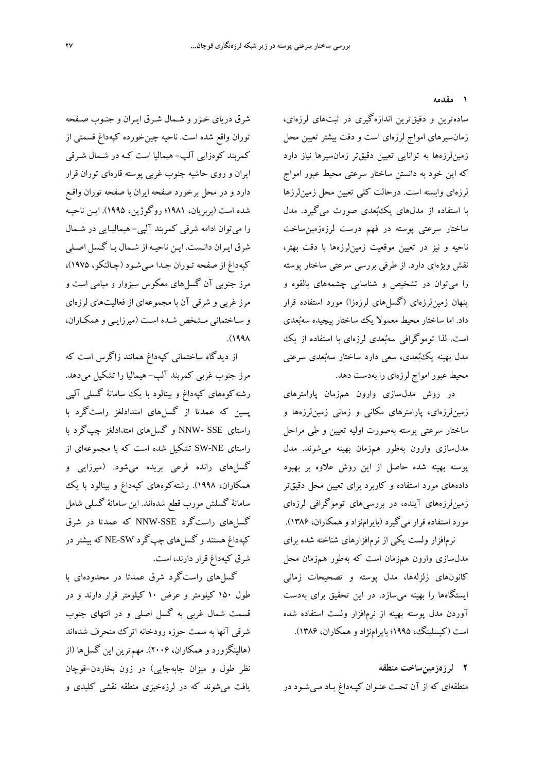**1 مقدمه** 

سادهترين و دقيقترين اندازهگيري در ثبتهاي لرزهاي، زمانسيرهاي امواج لرزهاي است و دقت بيشتر تعيين محل زمينلرزهها به توانايي تعيين دقيقتر زمانسيرها نياز دارد كه اين خود به دانستن ساختار سرعتي محيط عبور امواج لرزهاي وابسته است. درحالت كلي تعيين محل زمينلرزها با استفاده از مدلهاي يكبعدي صورت ميگيرد. مدل ساختار سرعتي پوسته در فهم درست لرزهزمينساخت ناحيه و نيز در تعيين موقعيت زمينلرزهها با دقت بهتر، نقش ويژهاي دارد. از طرفي بررسي سرعتي ساختار پوسته را ميتوان در تشخيص و شناسايي چشمههاي بالقوه و پنهان زمين لرزهاي (گسلهاي لرزهزا) مورد استفاده قرار داد. اما ساختار محيط معمولا يك ساختار پيچيده سهبعدي است. لذا توموگرافي سهبعدي لرزهاي با استفاده از يك مدل بهينه يكبعدي، سعي دارد ساختار سهبعدي سرعتي محيط عبور امواج لرزهاي را بهدست دهد.

در روش مدلسازي وارون همزمان پارامترهاي زمينلرزهاي، پارامترهاي مكاني و زماني زمينلرزهها و ساختار سرعتي پوسته بهصورت اوليه تعيين و طي مراحل مدلسازي وارون بهطور همزمان بهينه ميشوند. مدل پوسته بهينه شده حاصل از اين روش علاوه بر بهبود دادههاي مورد استفاده و كاربرد براي تعيين محل دقيقتر زمينلرزههاي آينده، در بررسيهاي توموگرافي لرزهاي مورد استفاده قرار ميگيرد (بايرامنژاد و همكاران، 1386).

نرمافزار ولست يكي از نرمافزارهاي شناخته شده براي مدلسازي وارون همزمان است كه بهطور همزمان محل كانونهاي زلزلهها، مدل پوسته و تصحيحات زماني ايستگاهها را بهينه ميسازد. در اين تحقيق براي بهدست آوردن مدل پوسته بهينه از نرمافزار ولست استفاده شده است (كيسلينگ، 1995؛ بايرامنژاد و همكاران، 1386).

**2 لرزهزمينساخت منطقه**  منطقهاي كه از آن تحـت عنـوان كپـهداغ يـاد مـيشـود در

شرق درياي خـزر و شـمال شـرق ايـران و جنـوب صـفحه توران واقع شده است. ناحيه چينخورده كپهداغ قسمتي از كمربند كوهزايي آلپ- هيماليا است كـه در شـمال شـرقي ايران و روی حاشيه جنوب غربي پوسته قارهای توران قرار دارد و در محل برخورد صفحه ايران با صفحه توران واقـع شده است (بربريان، 1981؛ روگوژين، 1995). ايـن ناحيـه را ميتوان ادامه شرقي كمربند آلپي - هيماليـايي در شـمال شرق ايـران دانـست . ايـن ناحيـه از شـمال بـا گـسل اصـلي كپهداغ از صفحه تـوران جـدا مـي شـود (چـالنكو، 1975)، مرز جنوبي آن گسلهاي معكوس سبزوار و ميامي است و مرز غربي و شرقي آن با مجموعهاي از فعاليتهاي لرزهاي و سـاختماني مـشخص شـده اسـت (ميرزايـي و همكـاران، .(1998

از ديدگاه ساختماني كپهداغ همانند زاگرس است كه مرز جنوب غربي كمربند آلپ- هيماليا را تشكيل ميدهد. رشته كوههای كپهداغ و بینالود با یك سامانهٔ گسلبی آلپی پسين كه عمدتا از گسلهاي امتدادلغز راستگرد با راستاي SSE -NNW و گسلهاي امتدادلغز چپگرد با راستاي NE-SW تشكيل شده است كه با مجموعهاي از گسلهاي رانده فرعي بريده ميشود. (ميرزايي و همكاران، 1998). رشتهكوههاي كپهداغ و بينالود با يك سامانة گسلش مورب قطع شدهاند. اين سامانة گسلي شامل گسلهاي راستگرد SSE-NNW كه عمدتا در شرق كپهداغ هستند و گسلهاي چپگرد SW-NE كه بيشتر در شرق كپهداغ قرار دارند، است.

گسلهاي راستگرد شرق عمدتا در محدودهاي با طول 150 كيلومتر و عرض 10 كيلومتر قرار دارند و در قسمت شمال غربي به گسل اصلي و در انتهاي جنوب شرقي آنها به سمت حوزه رودخانه اترك منحرف شدهاند (هالينگزورد و همكاران، 2006). مهمترين اين گسلها (از نظر طول و ميزان جابهجايي) در زون بخاردن-قوچان يافت ميشوند كه در لرزهخيزي منطقه نقشي كليدي و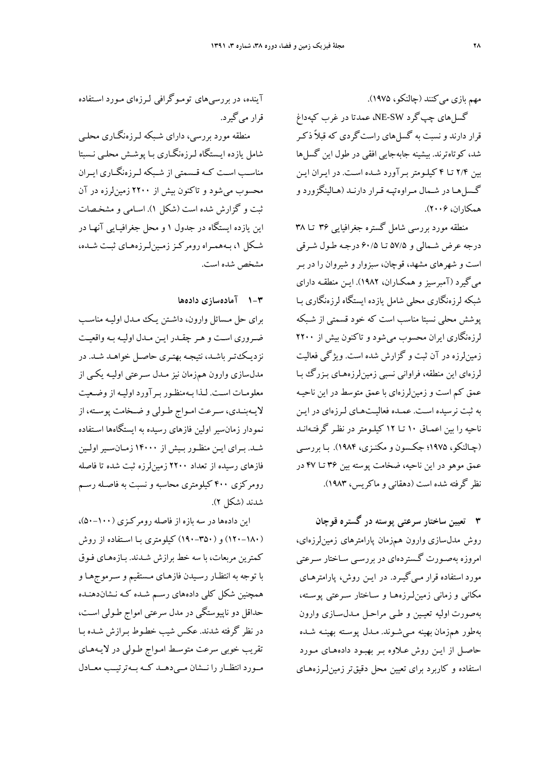مهم بازي ميكنند (چالنكو، 1975).

گسلهاي چپگرد SW-NE، عمدتا در غرب كپهداغ قرار دارند و نسبت به گسلهاي راستگردي كه قبلاً ذكـر شد، كوتاهترند. بيشينه جابهجايي افقي در طول اين گسا ها بين 2/4 تـا 4 كيلـومتر بـرآورد شـده اسـت . در ايـران ايـن گـسلهـا در شـمال مـراوهتپـه قـرار دارنـد (هـالينگزورد و همكاران، 2006).

منطقه مورد بررسي شامل گستره جغرافيايي 36 تـا 38 درجه عرض شـمالي و 57/5 تـا 60/5 درجـه طـول شـرقي است و شهرهاي مشهد، قوچان، سبزوار و شيروان را در بـر ميگيرد (آمبرسيز و همكـاران، 1982). ايـن منطقـه داراي شبكه لرزهنگاري محلي شامل يازده ايستگاه لرزهنگاري بـا پوشش محلي نسبتا مناسب است كه خود قسمتي از شـبكه لرزهنگاري ايران محسوب ميشود و تاكنون بيش از 2200 زمين لرزه در آن ثبت و گزارش شده است. ويژگي فعاليت لرزهاي اين منطقه، فراواني نسبي زمين لرزههـاي بـزرگ بـا عمق كم است و زمينلرزهاي با عمق متوسط در اين ناحيـه به ثبت نرسيده اسـت . عمـده فعاليـتهـاي لـرزهاي در ايـن ناحيه را بين اعمـاق 10 تـا 12 كيلـومتر در نظـر گرفتـه انـد (چـالنكو، 1975؛ جكـسون و مكنـزي، 1984). بـا بررسـي عمق موهو در اين ناحيه، ضخامت پوسته بين 36 تـا 47 در نظر گرفته شده است (دهقاني و ماكريس، 1983).

**3 تعيين ساختار سرعتي پوسته در گستره قوچان** روش مدلسازي وارون همزمان پارامترهاي زمينلرزهاي، امروزه بهصـورت گـستردهاي در بررسـي سـاختار سـرعتي مورد استفاده قرار مـيگيـرد. در ايـن روش، پارامترهـاي مكاني وزماني زمينلـرزههـا و سـاختار سـرعتي پوسـته، بهصورت اوليه تعيـين و طـي مراحـل مـدلسـازي وارون بهطور همزمان بهينه مـيشـوند. مـدل پوسـته بهينـه شـده حاصـل از ايـن روش عـلاوه بـر بهبـود دادههـاي مـورد استفاده و كاربرد براي تعيين محل دقيقترزمينلـرزههـاي

آينده، در بررسيهاي تومـوگرافي لـرزهاي مـورد اسـتفاده قرار ميگيرد.

منطقه مورد بررسي، داراي شـبكه لـرزه نگـاري محلـي شامل يازده ايـستگاه لـرزه نگـاري بـا پوشـش محلـي نـسبتا مناســب اســت كــه قــسمتي از شــبكه لــرزهنگــاري ايــران محسوب ميشود و تاكنون بيش از 2200 زمينلرزه در آن ثبت و گزارش شده است (شكل 1). اسـامي و مشخـصات اين يازده ايستگاه در جدول 1 و محل جغرافيـايي آنهـا در شـكل ،1 بـههمـراه رومركـززمـينلـرزههـاي ثبـت شـده، مشخص شده است.

## **1-3 آمادهسازي دادهها**

براي حل مـسائل وارون، داشـتن يـك مـدل اوليـه مناسـب ضـروري اسـت و هـر چقـدر ايـن مـدل اوليـه بـه واقعيـت نزديـكتـرباشـد، نتيجـه بهتـري حاصـل خواهـد شـد. در مدلسازي وارون همزمان نيز مـدل سـرعتي اوليـه يكـي از معلومـات اسـت. لـذا بـهمنظـور بـرآورد اوليـه از وضـعيت لايـهبنـدي، سـرعت امـواج طـولي و ضـخامت پوسـته، از نمودار زمانسير اولين فازهاي رسيده به ايستگاهها اسـتفاده شـد. بـراي ايـن منظـور بـيش از 14000 زمـانسـيراولـين فازهاي رسيده از تعداد 2200 زمينلرزه ثبت شده تا فاصله رومركزي 400 كيلومتري محاسبه و نسبت به فاصـله رسـم شدند (شكل 2).

اين دادهها در سه بازه از فاصله رومركـزي (50-100)، (120-180) و (190-350) كيلومتري بـا اسـتفاده از روش كمترين مربعات، با سه خط برازش شـدند . بـازههـاي فـوق با توجه به انتظـار رسـيدن فازهـاي مـستقيم و سـرموج هـا و همچنين شكل كلي دادههاي رسـم شـده كـه نـشان دهنـده حداقل دو ناپيوستگي در مدل سرعتي امواج طـولي اسـت، در نظر گرفته شدند. عكس شيب خطـوط بـرازش شـده بـا تقريب خوبي سرعت متوسـط امـواج طـولي در لايـه هـاي مــورد انتظــار را نــشان مــيدهــد كــه بــهترتيــب معــادل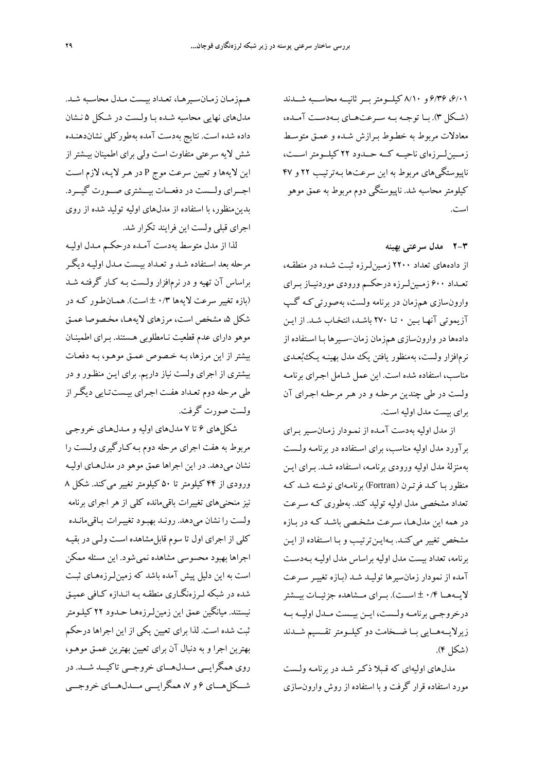،6/01 6/36 و 8/10 كيلــومتربــرثانيــه محاســبه شــدند (شــكل 3). بــا توجــه بــه ســرعتهــاي بــهدســت آمــده، معادلات مربوط به خطـوط بـرازش شـده و عمـق متوسـط زمــين لــرزهاي ناحيــه كــه حــدود ٢٢ كيلــومتر اســت، ناپيوستگيهاي مربوط به اين سرعت ها بـهترتيـب 22 و 47 كيلومترمحاسبه شد. ناپيوستگي دوم مربوط به عمق موهو است.

**2-3 مدل سرعتي بهينه** 

از دادههاي تعداد 2200 زمـينلـرزه ثبـت شـده در منطقـه، تعــداد 600 زمــينلــرزه درحكــم ورودي موردنيــاز بــراي وارونسازي همزمان در برنامه ولست، به صورتيكـه گـپ آزيموتي آنهـا بـين 0 تـا 270 باشـد، انتخـاب شـد . از ايـن دادهها در وارونسازي همزمان زمان-سـيرها بـا اسـتفاده از نرمافزار ولست، بهمنظور يافتن يك مدل بهينـه يـك بعـدي مناسب، استفاده شده است. اين عمل شـامل اجـراي برنامـه ولست در طي چندين مرحلـه و در هـر مرحلـه اجـراي آن براي بيست مدل اوليه است.

از مدل اوليه بهدست آمـده از نمـودار زمـان سـيربـراي برآورد مدل اوليه مناسب، براي اسـتفاده در برنامـه ولـست بهمنزلة مدل اوليه ورودي برنامـه، اسـتفاده شـد . بـراي ايـن منظور بـا كـد فرتـرن (Fortran (برنامـهاي نوشـته شـد كـه تعداد مشخصي مدل اوليه توليد كند . بهطوري كـه سـرعت در همه اين مدل هـا، سـرعت مشخـصي باشـد كـه در بـازه مشخص تغيير ميكنـد. بـهايـنترتيـب و بـا اسـتفاده از ايـن برنامه، تعداد بيست مدل اوليه براساس مدل اوليـه بـه دسـت آمده از نمودار زمانسيرها توليـد شـد (بـازه تغييـر سـرعت لايــههــا 0/4 ± اســت). بــراي مــشاهده جزئيــات بيــشتر درخروجــي برنامــهولــست، ايــن بيــست مــدل اوليــه بــه زيرلايــههــايي بــا ضــخامت دو كيلــومترتقــسيم شــدند (شكل 4).

مدل هاي اوليهاي كه قـبلا ذكـر شـد در برنامـه ولـست مورد استفاده قرار گرفت و با استفاده از روش وارون سازي

هـمزمـان زمـانسـيرهـا، تعـداد بيـست مـدل محاسـبه شـد. مدلهاي نهايي محاسبه شـده بـا ولـست در شـكل 5 نـشان داده شده است. نتايج بهدست آمده بهطوركلي نشاندهنـده شش لايه سرعتي متفاوت است ولي براي اطمينان بيـشتراز اين لايهها و تعيين سرعت موج P در هـر لايـه، لازم اسـت اجـــراي ولـــست در دفعـــات بيـــشتري صـــورت گيـــرد. بدينمنظور، با استفاده از مدلهاي اوليه توليد شده از روي اجراي قبلي ولست اين فرايند تكرار شد.

لذا از مدل متوسط به دست آمـده درحكـم مـدل اوليـه مرحله بعد اسـتفاده شـد و تعـداد بيـست مـدل اوليـه ديگـر براساس آن تهيه و در نرم افزار ولـست بـه كـار گرفتـه شـد (بازه تغيير سرعت لايه ها 0/3 ± است). همـانطـور كـه در شكل ۵، مشخص است، مرزهاي لايههـا، مخـصوصا عمـق موهو داراي عدم قطعيت نـامطلوبي هـستند . بـراي اطمينـان بيشتر از اين مرزها، بـه خـصوص عمـق موهـو، بـه دفعـات بيشتري از اجراي ولست نياز داريم . براي ايـن منظـور و در طي مرحله دوم تعـداد هفـت اجـراي بيـست تـايي ديگـراز ولست صورت گرفت.

شكلهاي 6 تا 7 مدلهاي اوليه و مـدل هـاي خروجـي مربوط به هفت اجراي مرحله دوم بـه كـارگيري ولـست را نشان ميدهد. در اين اجراها عمق موهو در مدلهـاي اوليـه ورودي از 44 كيلومتر تا 50 كيلومتر تغيير ميكند. شكل 8 نيز منحنيهاي تغييرات باقيءانده كلي از هر اجراي برنامه ولست را نشان ميدهد. رونـد بهبـود تغييـرات بـاقيمانـده كلي از اجراي اول تا سوم قابلمشاهده اسـت ولـي در بقيـه اجرا ها بهبود محسوسي مشاهده نمي شود. اين مسئله ممكن است به اين دليل پيش آمده باشد كه زمين لـرزههـاي ثبـت شده در شبكه لـرزه نگـاري منطقـه بـ ه انـدازه كـافي عميـق نيستند. ميانگين عمق اين زمينلـرزههـا حـدود 22 كيلـومتر ثبت شده است. لذا براي تعيين يكي از اين اجرا ها درحكم بهترين اجرا و به دنبال آن براي تعيين بهترين عمـق موهـو، روي همگرايــي مــدلهــاي خروجــي تاكيــد شــد. در شـــكلهـــاي 6 و ،7 همگرايـــي مـــدلهـــاي خروجـــي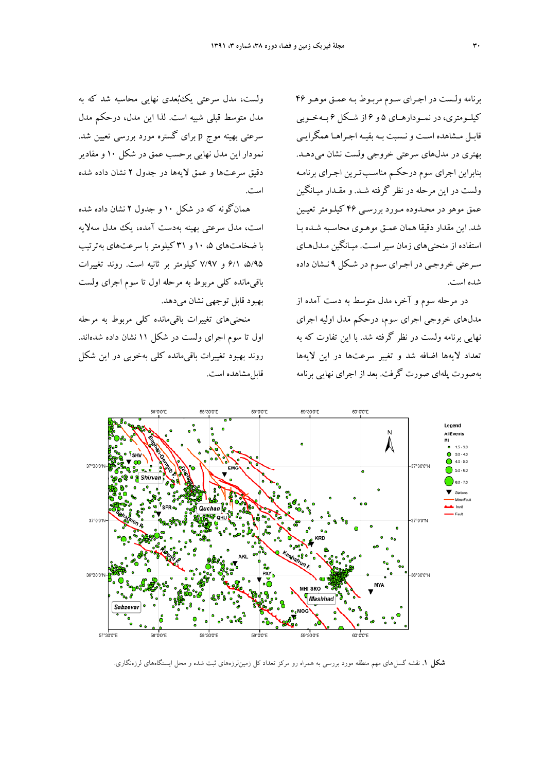برنامه ولـست در اجـراي سـوم مربـوط بـه عمـق موهـو 46 كيلــومتري، در نمــودارهــاي 5 و 6 از شــكل 6 بــهخــوبي قابـل مـشاهده اسـت ونـسبت بـه بقيـه اجـراهـا همگرايـي بهتري در مدلهاي سرعتي خروجي ولست نشان مي دهـد. بنابراين اجراي سوم درحكـم مناسـب تـرين اجـراي برنامـه ولست در اين مرحله در نظر گرفته شـد . و مقـدار ميـانگين عمق موهو در محـدوده مـورد بررسـي 46 كيلـومتر تعيـين شد. اين مقدار دقيقا همان عمـق موهـوي محاسـبه شـده بـا استفاده از منحنيهاي زمان سيراسـت . ميـانگين مـدلهـاي سـرعتي خروجـي در اجـراي سـوم در شـكل 9 نـشان داده شده است.

در مرحله سوم و آخر، مدل متوسط به دست آمده از مدلهاي خروجي اجراي سوم، درحكم مدل اوليه اجراي نهايي برنامه ولست در نظر گرفته شد. با اين تفاوت كه به تعداد لايهها اضافه شد و تغيير سرعتها در اين لايهها بهصورت پلهاي صورت گرفت. بعد از اجراي نهايي برنامه

ولست، مدل سرعتي يكبعدي نهايي محاسبه شد كه به مدل متوسط قبلي شبيه است. لذا اين مدل، درحكم مدل سرعتي بهينه موج p براي گستره مورد بررسي تعيين شد. نمودار اين مدل نهايي برحسب عمق در شكل 10 و مقادير دقيق سرعتها و عمق لايهها در جدول 2 نشان داده شده است.

همانگونه كه در شكل 10 و جدول 2 نشان داده شده است، مدل سرعتي بهينه بهدست آمده، يك مدل سهلايه با ضخامتهاي ۰.۵ و ۳۱ كيلومتر با سرعتهاي بهترتيب ،5/95 6/1 و 7/97 كيلومتر بر ثانيه است. روند تغييرات باقيمانده كلي مربوط به مرحله اول تا سوم اجراي ولست بهبود قابل توجهي نشان ميدهد.

منحنيهاي تغييرات باقيمانده كلي مربوط به مرحله اول تا سوم اجراي ولست در شكل 11 نشان داده شدهاند. روند بهبود تغييرات باقيمانده كلي بهخوبي در اين شكل قابل مشاهده است.



**شكل .1** نقشه گسلهاي مهم منطقه مورد بررسي به همراه رو مركز تعداد كل زمينلرزههاي ثبت شده و محل ايستگاههاي لرزهنگاري.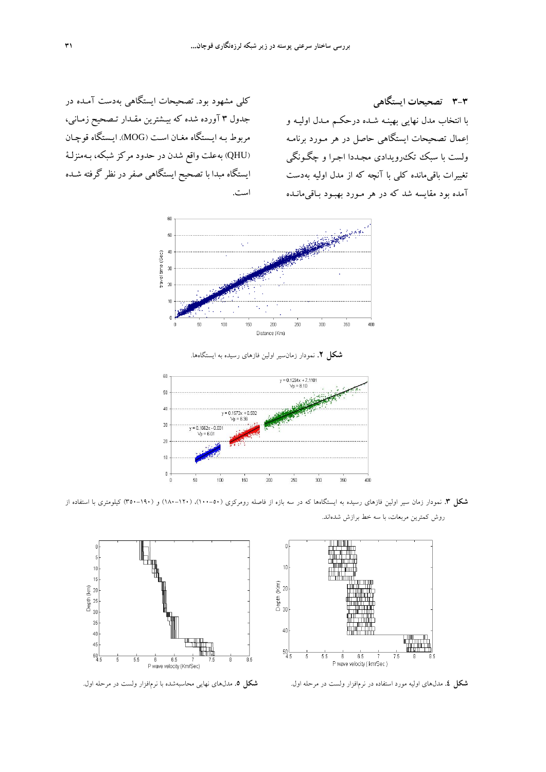كلي مشهود بود. تصحيحات ايستگاهي بهدست آمـده در جدول 3 آورده شده كه بيـشترين مقـدار تـصحيح زمـاني، مربوط بـه ايـستگاه مغـان اسـت (MOG(. ايـستگاه قوچـان (QHU (بهعلت واقع شدن در حدود مركز شبكه، بـه منزلـة ايستگاه مبدا با تصحيح ايستگاهي صفر در نظر گرفته شـده است.

**3-3 تصحيحات ايستگاهي**  با انتخاب مدل نهايي بهينـه شـده درحكـم مـدل اوليـه و اعمال تصحيحات ايستگاهي حاصل در هر مـورد برنامـه ولست با سبك تكرويدادي مجـددا اجـرا و چگـونگي تغييرات باقيمانده كلي با آنچه كه از مدل اوليه بهدست آمده بود مقايسه شد كه در هر مـورد بهبـود بـاقيمانـده



**شكل .2** نمودار زمانسير اولين فازهاي رسيده به ايستگاهها.



**شكل .3** نمودار زمان سير اولين فازهاي رسيده به ايستگاهها كه در سه بازه از فاصله رومركزي (100-50)، (-120 180) و (350-190) كيلومتري با استفاده از روش كمترين مربعات، با سه خط برازش شدهاند.



**شكل .4** مدلهاي اوليه مورد استفاده در نرمافزار ولست در مرحله اول. **شكل .5** مدلهاي نهايي محاسبهشده با نرمافزار ولست در مرحله اول.

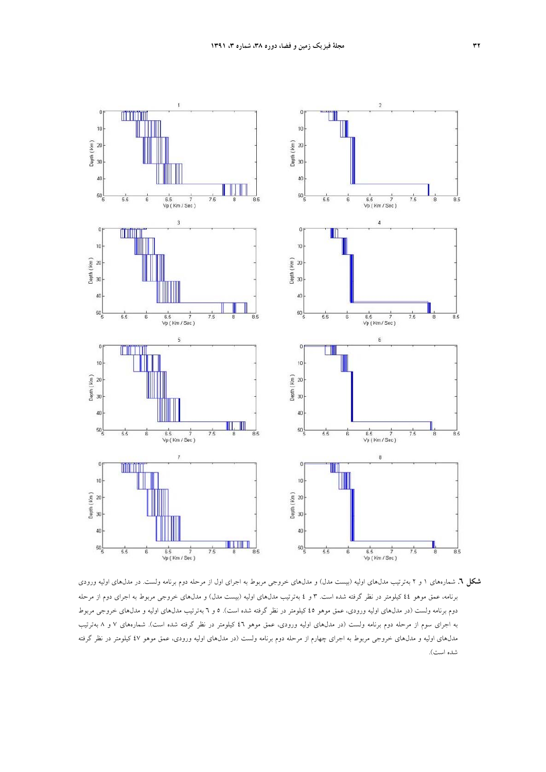

**شكل .6** شمارههاي 1 و 2 بهترتيب مدلهاي اوليه (بيست مدل) و مدلهاي خروجي مربوط به اجراي اول از مرحله دوم برنامه ولست. در مدلهاي اوليه ورودي برنامه، عمق موهو 44 كيلومتر در نظر گرفته شده است. 3 و 4 بهترتيب مدلهاي اوليه (بيست مدل) و مدلهاي خروجي مربوط به اجراي دوم از مرحله دوم برنامه ولست (در مدلهاي اوليه ورودي، عمق موهو 45 كيلومتر در نظر گرفته شده است). 5 و 6 بهترتيب مدلهاي اوليه و مدلهاي خروجي مربوط به اجراي سوم از مرحله دوم برنامه ولست (در مدلهاي اوليه ورودي، عمق موهو 46 كيلومتر در نظر گرفته شده است). شمارههاي 7 و 8 بهترتيب مدلهاي اوليه و مدلهاي خروجي مربوط به اجراي چهارم از مرحله دوم برنامه ولست (در مدلهاي اوليه ورودي، عمق موهو 47 كيلومتر در نظر گرفته شده است).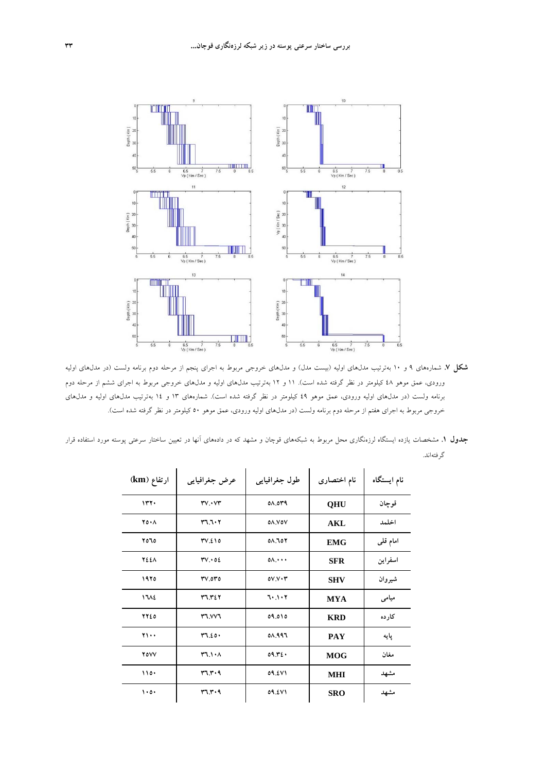

**شكل .7** شمارههاي 9 و 10 بهترتيب مدلهاي اوليه (بيست مدل) و مدلهاي خروجي مربوط به اجراي پنجم از مرحله دوم برنامه ولست (در مدلهاي اوليه ورودي، عمق موهو 48 كيلومتر در نظر گرفته شده است). 11 و 12 بهترتيب مدلهاي اوليه و مدلهاي خروجي مربوط به اجراي ششم از مرحله دوم برنامه ولست (در مدلهاي اوليه ورودي، عمق موهو 49 كيلومتر در نظر گرفته شده است). شمارههاي 13 و 14 بهترتيب مدلهاي اوليه و مدلهاي خروجي مربوط به اجراي هفتم از مرحله دوم برنامه ولست (در مدلهاي اوليه ورودي، عمق موهو 50 كيلومتر در نظر گرفته شده است).

| <b>جدول ۱</b> . مشخصات یازده ایستگاه لرزهنگاری محل مربوط به شبکههای قوچان و مشهد که در دادههای آنها در تعیین ساختار سرعتی پوسته مورد استفاده قرار |  |           |
|---------------------------------------------------------------------------------------------------------------------------------------------------|--|-----------|
|                                                                                                                                                   |  | گ فتهاند. |

| ارتفاع (km)            | عرض جغرافيايي | طول جغرافيايي     | نام اختصاری | نام ایستگاه |
|------------------------|---------------|-------------------|-------------|-------------|
| 117.                   | $rv\cdot vr$  | 08.0۳۹            | <b>QHU</b>  | قوجان       |
| $Y \circ \cdot \wedge$ | 37.7.7        | <b>OA.VOV</b>     | AKL         | اخلمد       |
| ۲۵٦٥                   | TV.210        | 01.107            | <b>EMG</b>  | امام قلمی   |
| <b>7221</b>            | TV.02         | $0 \wedge \cdots$ | <b>SFR</b>  | اسفراين     |
| ۱۹۲۵                   | $rv$ or $o$   | 0V.V.7            | <b>SHV</b>  | شيروان      |
| 1712                   | 37.727        | 7.1.7             | <b>MYA</b>  | میامی       |
| 7720                   | <b>TVVT</b>   | 09.010            | <b>KRD</b>  | کار ده      |
| $\mathbf{y}_1 \ldots$  | 77.20         | 08.997            | <b>PAY</b>  | يايه        |
| <b>YOVV</b>            | FT.1.1        | 09.72.            | <b>MOG</b>  | مغان        |
| 110.                   | FT.7.9        | 09.2V1            | <b>MHI</b>  | مشهد        |
| $\cdots$               | ۳٦.۳۰۹        | 09.271            | <b>SRO</b>  | مشهد        |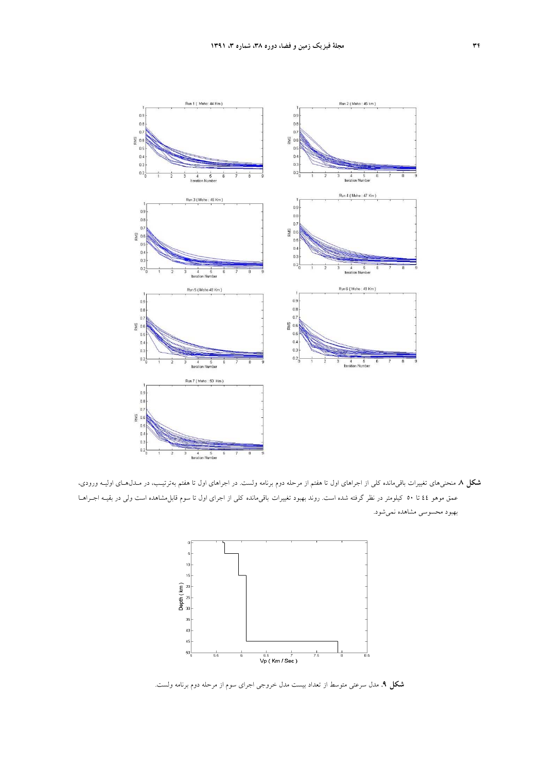

**شكل .8** منحنيهاي تغييرات باقيمانده كلي از اجراهاي اول تا هفتم از مرحله دوم برنامه ولست. در اجراهاي اول تا هفتم بهترتيـب، در مـدلهـاي اوليـه ورودي، عمق موهو 44 تا 50 كيلومتر در نظر گرفته شده است. روند بهبود تغييرات باقيمانده كلي از اجراي اول تا سوم قابلمشاهده است ولي در بقيـه اجـراهـا بهبود محسوسي مشاهده نميشود.



**شكل .9** مدل سرعتي متوسط از تعداد بيست مدل خروجي اجراي سوم از مرحله دوم برنامه ولست.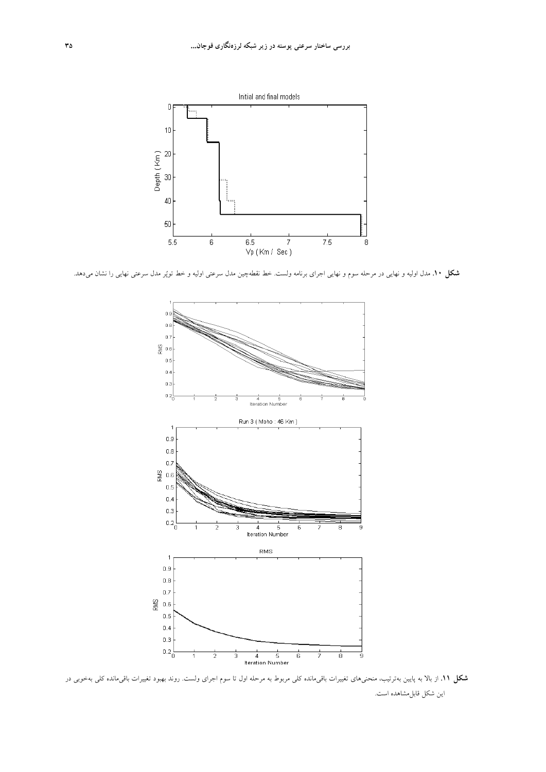

**شكل .10** مدل اوليه و نهايي در مرحله سوم و نهايي اجراي برنامه ولست. خط نقطهچين مدل سرعتي اوليه و خط توپر مدل سرعتي نهايي را نشان ميدهد.



**شكل .11** از بالا به پايين بهترتيب، منحنيهاي تغييرات باقيمانده كلي مربوط به مرحله اول تا سوم اجراي ولست. روند بهبود تغييرات باقيمانده كلي بهخوبي در اين شكل قابلمشاهده است.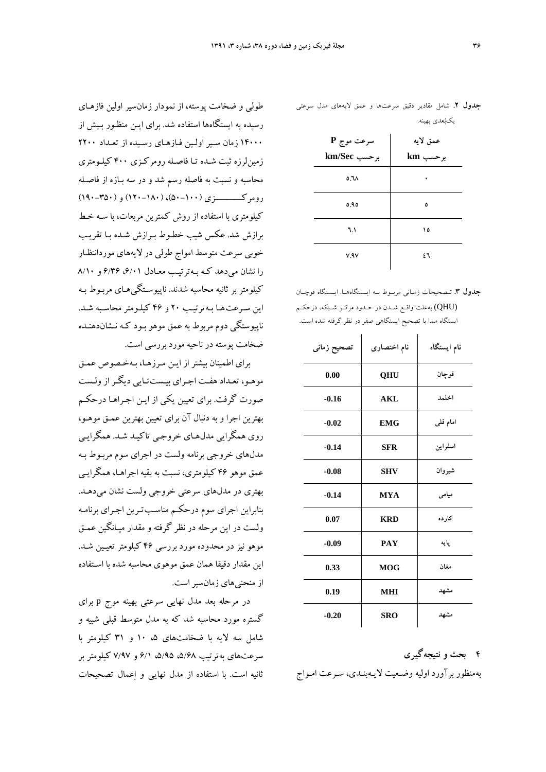|                  | .        |
|------------------|----------|
| سرعت موج P       | عمق لايه |
| برحسب km/Sec     | برحسب km |
| 0.7 <sub>A</sub> |          |
| ٥.٩٥             | ٥        |
| ٦.١              | ١٥       |
| V.AV             | ٤٦       |

**جدول .2** شامل مقادير دقيق سرعتها و عمق لايههاي مدل سرعتي

يكبعدي بهينه.

**جدول .3** تـصحيحات زمـاني مربـوط بـه ايـستگاههـا. ايـستگاه قوچـان (QHU (بهعلت واقـع شـدن در حـدود مركـز شـبكه، درحكـم ايستگاه مبدا با تصحيح ايستگاهي صفر در نظر گرفته شده است.

| تصحيح زماني | نام اختصارى        | نام ایستگاه |
|-------------|--------------------|-------------|
| 0.00        | QHU                | قوچان       |
| $-0.16$     | <b>AKL</b>         | اخلمد       |
| $-0.02$     | <b>EMG</b>         | امام قلمی   |
| $-0.14$     | <b>SFR</b>         | اسفراين     |
| $-0.08$     | <b>SHV</b>         | شيروان      |
| $-0.14$     | <b>MYA</b>         | میامی       |
| 0.07        | <b>KRD</b>         | کار ده      |
| $-0.09$     | <b>PAY</b>         | پایه        |
| 0.33        | <b>MOG</b>         | مغان        |
| 0.19        | <b>MHI</b>         | مشهد        |
| $-0.20$     | مشهد<br><b>SRO</b> |             |

**4 بحث و نتيجهگيري**  بهمنظور برآورد اوليه وضـعيت لايـه بنـدي، سـرعت امـواج

طولي و ضخامت پوسته، از نمودار زمان سير اولين فازهـاي رسيده به ايستگاهها استفاده شد. براي ايـن منظـور بـيش از ۱۴۰۰۰ زمان سـير اولـين فـازهـاي رسـيده از تعـداد ۲۲۰۰ زمينلرزه ثبت شـده تـا فاصـله رومركـزي 400 كيلـومتري محاسبه و نسبت به فاصله رسم شد و در سه بـازه از فاصـله رومركـــــــــــزي (50-100)، (120-180) و (190-350) كيلومتري با استفاده از روش كمترين مربعات، با سـه خـط برازش شد. عكس شيب خطـوط بـرازش شـده بـا تقريـب خوبي سرعت متوسط امواج طولي در لايه هاي موردانتظـار  $(1 + 1)$ را نشان می دهد كـه بـه ترتيـب معـادل ۶/۲۱  $9/1$ 9 و ۸/۱۰ كيلومتر بر ثانيه محاسبه شدند . ناپيوسـتگيهـاي مربـوط بـه اين سـرعت هـا بـهترتيـب 20 و 46 كيلـومتر محاسـبه شـد . ناپيوستگي دوم مربوط به عمق موهو بـود كـه نـشاندهنـده ضخامت پوسته در ناحيه مورد بررسي است.

براي اطمينان بيشتر از ايـن مـرز هـا، بـهخـصوص عمـق موهـو، تعـداد هفـت اجـراي بيـستتـايي ديگـراز ولـست صورت گرفت. براي تعيين يكي از ايـن اجـراهـا درحكـم بهترين اجرا و به دنبال آن براي تعيين بهترين عمـق موهـو، روي همگرايي مدل هـاي خروجـي تاكيـد شـد . همگرايـي مدلهاي خروجي برنامه ولست در اجراي سوم مربـوط بـه عمق موهو 46 كيلومتري، نسبت به بقيه اجراهـا، همگرايـي بهتري در مدلهاي سرعتي خروجي ولست نشان مي دهـد. بنابراين اجراي سوم درحكـم مناسـبتـرين اجـراي برنامـه ولست در اين مرحله در نظر گرفته و مقدار ميـانگين عمـق موهو نيز در محدوده مورد بررسي 46 كبلومتر تعيـين شـد . اين مقدار دقيقا همان عمق موهوي محاسبه شده با اسـتفاده از منحنيهاي زمانسيراست.

در مرحله بعد مدل نهايي سرعتي بهينه موج p براي گستره مورد محاسبه شد كه به مدل متوسط قبلي شبيه و شامل سه لايه با ضخامتهاي ،5 10 و 31 كيلومتر با سرعتهاي بهترتيب ،5/68 ،5/95 6/1 و 7/97 كيلومتر بر ثانيه است. با استفاده از مدل نهايي و اعمال تصحيحات